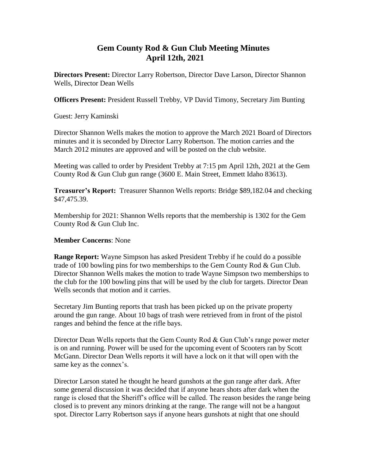## **Gem County Rod & Gun Club Meeting Minutes April 12th, 2021**

**Directors Present:** Director Larry Robertson, Director Dave Larson, Director Shannon Wells, Director Dean Wells

**Officers Present:** President Russell Trebby, VP David Timony, Secretary Jim Bunting

Guest: Jerry Kaminski

Director Shannon Wells makes the motion to approve the March 2021 Board of Directors minutes and it is seconded by Director Larry Robertson. The motion carries and the March 2012 minutes are approved and will be posted on the club website.

Meeting was called to order by President Trebby at 7:15 pm April 12th, 2021 at the Gem County Rod & Gun Club gun range (3600 E. Main Street, Emmett Idaho 83613).

**Treasurer's Report:** Treasurer Shannon Wells reports: Bridge \$89,182.04 and checking \$47,475.39.

Membership for 2021: Shannon Wells reports that the membership is 1302 for the Gem County Rod & Gun Club Inc.

## **Member Concerns**: None

**Range Report:** Wayne Simpson has asked President Trebby if he could do a possible trade of 100 bowling pins for two memberships to the Gem County Rod & Gun Club. Director Shannon Wells makes the motion to trade Wayne Simpson two memberships to the club for the 100 bowling pins that will be used by the club for targets. Director Dean Wells seconds that motion and it carries.

Secretary Jim Bunting reports that trash has been picked up on the private property around the gun range. About 10 bags of trash were retrieved from in front of the pistol ranges and behind the fence at the rifle bays.

Director Dean Wells reports that the Gem County Rod & Gun Club's range power meter is on and running. Power will be used for the upcoming event of Scooters ran by Scott McGann. Director Dean Wells reports it will have a lock on it that will open with the same key as the connex's.

Director Larson stated he thought he heard gunshots at the gun range after dark. After some general discussion it was decided that if anyone hears shots after dark when the range is closed that the Sheriff's office will be called. The reason besides the range being closed is to prevent any minors drinking at the range. The range will not be a hangout spot. Director Larry Robertson says if anyone hears gunshots at night that one should